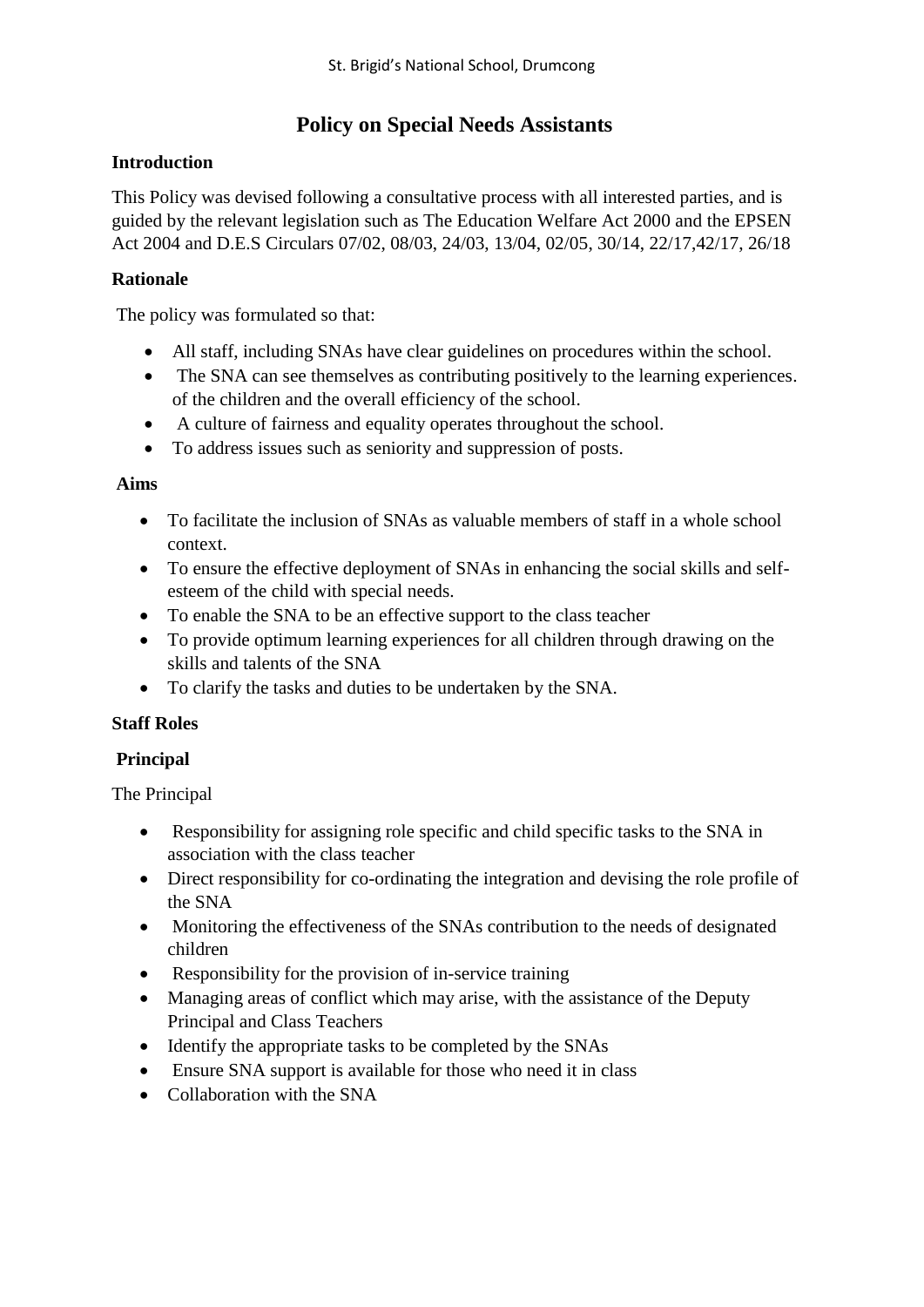# **Policy on Special Needs Assistants**

#### **Introduction**

This Policy was devised following a consultative process with all interested parties, and is guided by the relevant legislation such as The Education Welfare Act 2000 and the EPSEN Act 2004 and D.E.S Circulars 07/02, 08/03, 24/03, 13/04, 02/05, 30/14, 22/17,42/17, 26/18

### **Rationale**

The policy was formulated so that:

- All staff, including SNAs have clear guidelines on procedures within the school.
- The SNA can see themselves as contributing positively to the learning experiences. of the children and the overall efficiency of the school.
- A culture of fairness and equality operates throughout the school.
- To address issues such as seniority and suppression of posts.

#### **Aims**

- To facilitate the inclusion of SNAs as valuable members of staff in a whole school context.
- To ensure the effective deployment of SNAs in enhancing the social skills and selfesteem of the child with special needs.
- To enable the SNA to be an effective support to the class teacher
- To provide optimum learning experiences for all children through drawing on the skills and talents of the SNA
- To clarify the tasks and duties to be undertaken by the SNA.

#### **Staff Roles**

#### **Principal**

The Principal

- Responsibility for assigning role specific and child specific tasks to the SNA in association with the class teacher
- Direct responsibility for co-ordinating the integration and devising the role profile of the SNA
- Monitoring the effectiveness of the SNAs contribution to the needs of designated children
- Responsibility for the provision of in-service training
- Managing areas of conflict which may arise, with the assistance of the Deputy Principal and Class Teachers
- Identify the appropriate tasks to be completed by the SNAs
- Ensure SNA support is available for those who need it in class
- Collaboration with the SNA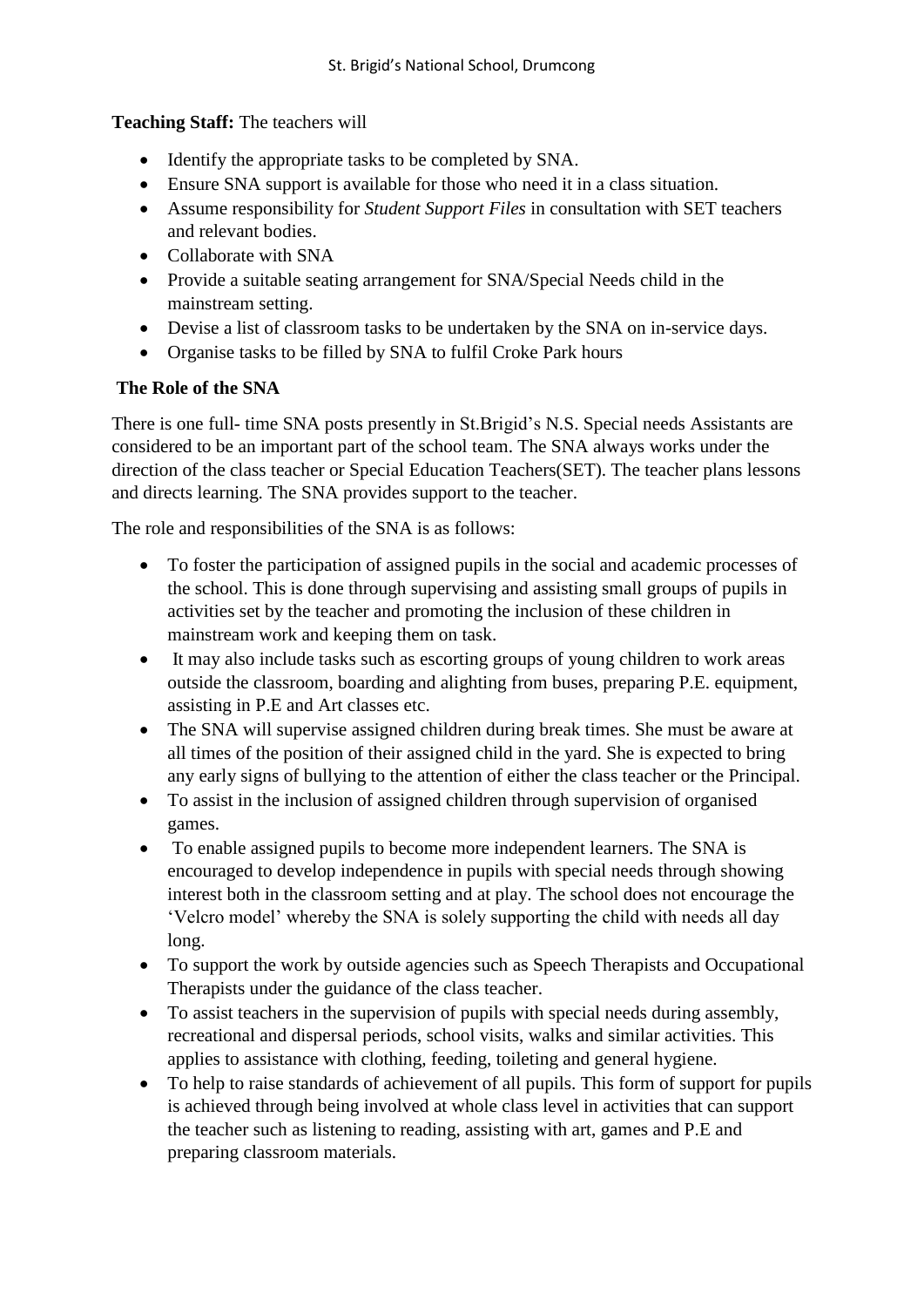**Teaching Staff:** The teachers will

- Identify the appropriate tasks to be completed by SNA.
- Ensure SNA support is available for those who need it in a class situation.
- Assume responsibility for *Student Support Files* in consultation with SET teachers and relevant bodies.
- Collaborate with SNA
- Provide a suitable seating arrangement for SNA/Special Needs child in the mainstream setting.
- Devise a list of classroom tasks to be undertaken by the SNA on in-service days.
- Organise tasks to be filled by SNA to fulfil Croke Park hours

# **The Role of the SNA**

There is one full- time SNA posts presently in St.Brigid's N.S. Special needs Assistants are considered to be an important part of the school team. The SNA always works under the direction of the class teacher or Special Education Teachers(SET). The teacher plans lessons and directs learning. The SNA provides support to the teacher.

The role and responsibilities of the SNA is as follows:

- To foster the participation of assigned pupils in the social and academic processes of the school. This is done through supervising and assisting small groups of pupils in activities set by the teacher and promoting the inclusion of these children in mainstream work and keeping them on task.
- It may also include tasks such as escorting groups of young children to work areas outside the classroom, boarding and alighting from buses, preparing P.E. equipment, assisting in P.E and Art classes etc.
- The SNA will supervise assigned children during break times. She must be aware at all times of the position of their assigned child in the yard. She is expected to bring any early signs of bullying to the attention of either the class teacher or the Principal.
- To assist in the inclusion of assigned children through supervision of organised games.
- To enable assigned pupils to become more independent learners. The SNA is encouraged to develop independence in pupils with special needs through showing interest both in the classroom setting and at play. The school does not encourage the 'Velcro model' whereby the SNA is solely supporting the child with needs all day long.
- To support the work by outside agencies such as Speech Therapists and Occupational Therapists under the guidance of the class teacher.
- To assist teachers in the supervision of pupils with special needs during assembly, recreational and dispersal periods, school visits, walks and similar activities. This applies to assistance with clothing, feeding, toileting and general hygiene.
- To help to raise standards of achievement of all pupils. This form of support for pupils is achieved through being involved at whole class level in activities that can support the teacher such as listening to reading, assisting with art, games and P.E and preparing classroom materials.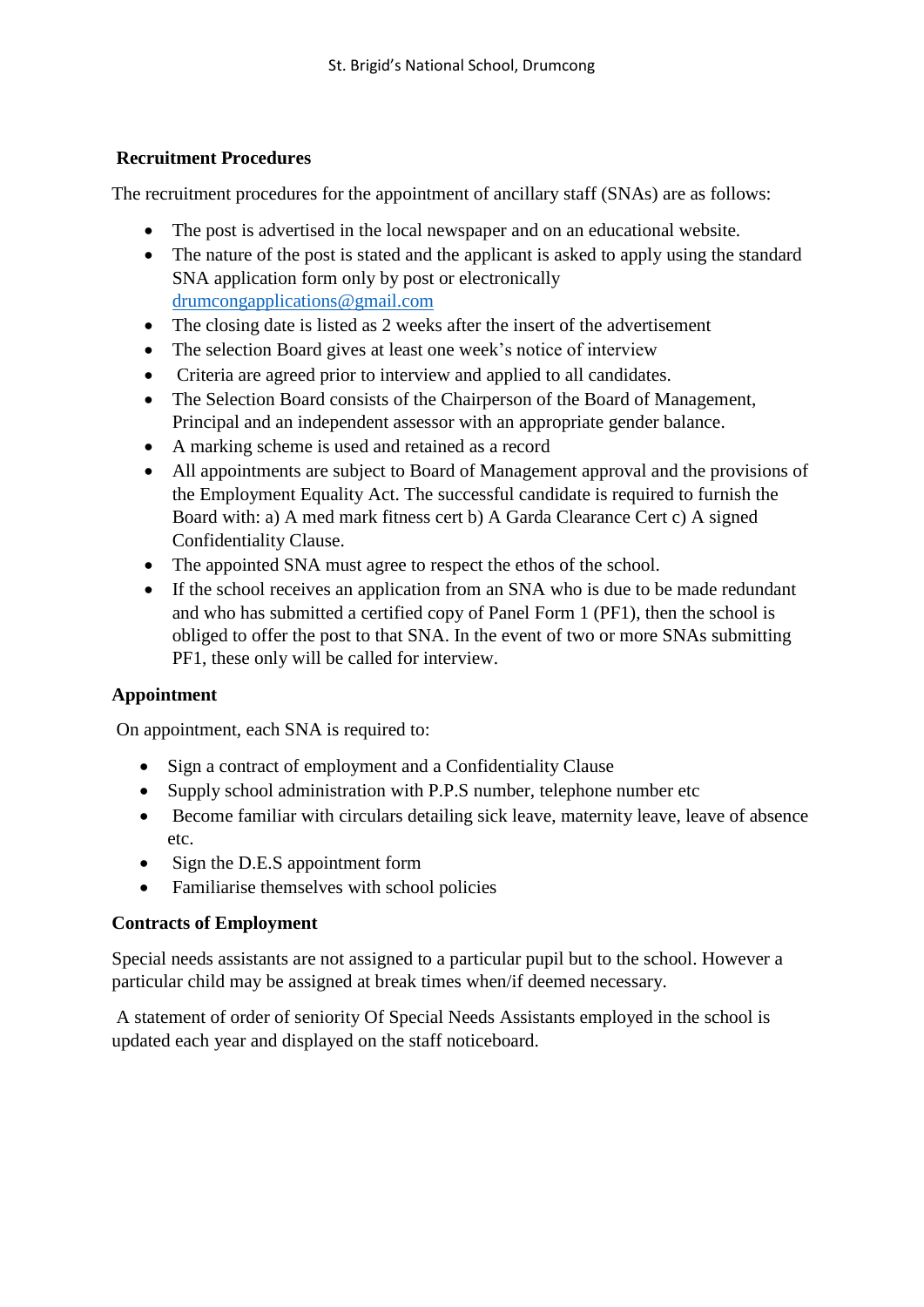### **Recruitment Procedures**

The recruitment procedures for the appointment of ancillary staff (SNAs) are as follows:

- The post is advertised in the local newspaper and on an educational website.
- The nature of the post is stated and the applicant is asked to apply using the standard SNA application form only by post or electronically [drumcongapplications@gmail.com](mailto:drumcongapplications@gmail.com)
- The closing date is listed as 2 weeks after the insert of the advertisement
- The selection Board gives at least one week's notice of interview
- Criteria are agreed prior to interview and applied to all candidates.
- The Selection Board consists of the Chairperson of the Board of Management, Principal and an independent assessor with an appropriate gender balance.
- A marking scheme is used and retained as a record
- All appointments are subject to Board of Management approval and the provisions of the Employment Equality Act. The successful candidate is required to furnish the Board with: a) A med mark fitness cert b) A Garda Clearance Cert c) A signed Confidentiality Clause.
- The appointed SNA must agree to respect the ethos of the school.
- If the school receives an application from an SNA who is due to be made redundant and who has submitted a certified copy of Panel Form 1 (PF1), then the school is obliged to offer the post to that SNA. In the event of two or more SNAs submitting PF1, these only will be called for interview.

# **Appointment**

On appointment, each SNA is required to:

- Sign a contract of employment and a Confidentiality Clause
- Supply school administration with P.P.S number, telephone number etc
- Become familiar with circulars detailing sick leave, maternity leave, leave of absence etc.
- Sign the D.E.S appointment form
- Familiarise themselves with school policies

#### **Contracts of Employment**

Special needs assistants are not assigned to a particular pupil but to the school. However a particular child may be assigned at break times when/if deemed necessary.

A statement of order of seniority Of Special Needs Assistants employed in the school is updated each year and displayed on the staff noticeboard.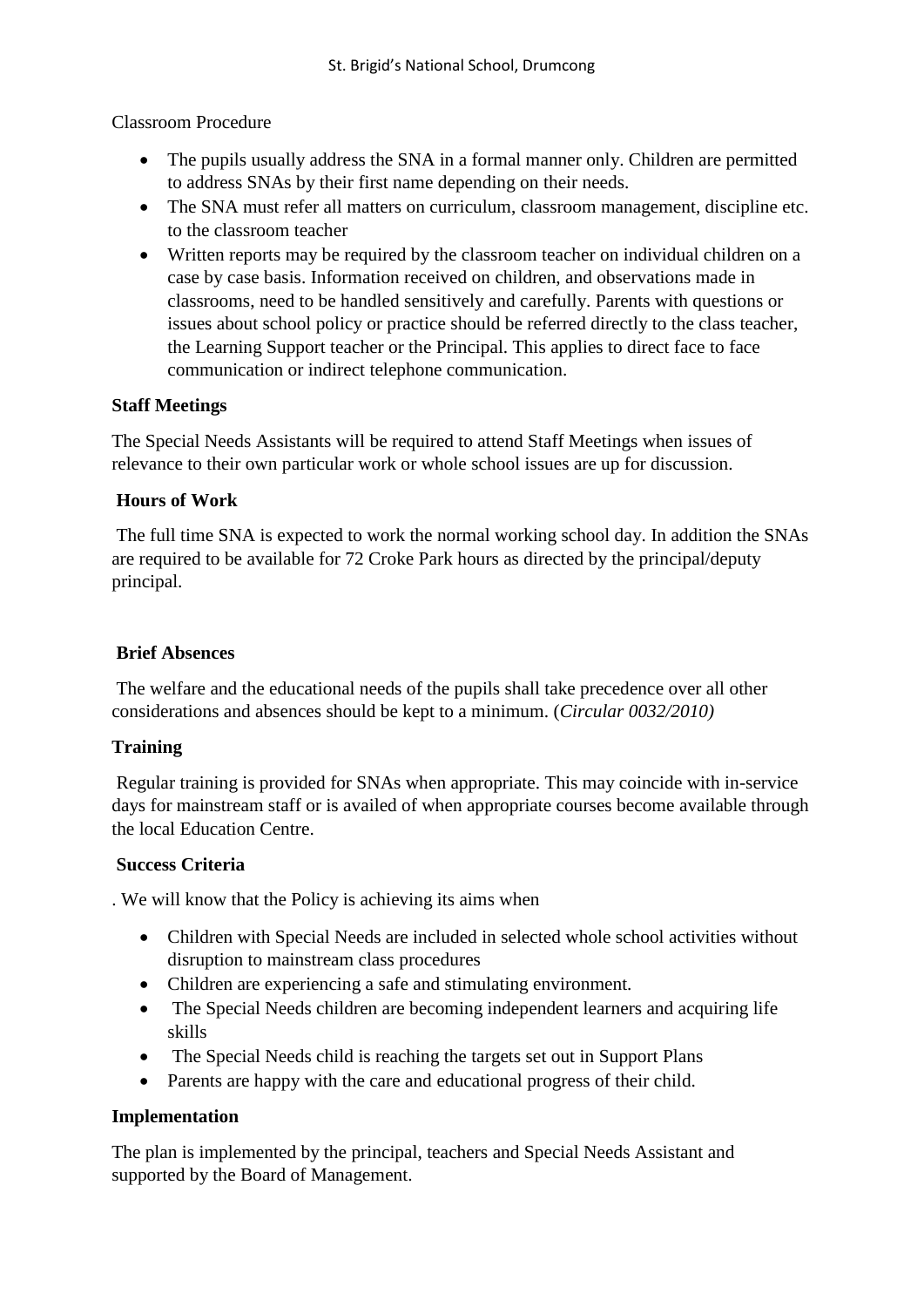Classroom Procedure

- The pupils usually address the SNA in a formal manner only. Children are permitted to address SNAs by their first name depending on their needs.
- The SNA must refer all matters on curriculum, classroom management, discipline etc. to the classroom teacher
- Written reports may be required by the classroom teacher on individual children on a case by case basis. Information received on children, and observations made in classrooms, need to be handled sensitively and carefully. Parents with questions or issues about school policy or practice should be referred directly to the class teacher, the Learning Support teacher or the Principal. This applies to direct face to face communication or indirect telephone communication.

# **Staff Meetings**

The Special Needs Assistants will be required to attend Staff Meetings when issues of relevance to their own particular work or whole school issues are up for discussion.

### **Hours of Work**

The full time SNA is expected to work the normal working school day. In addition the SNAs are required to be available for 72 Croke Park hours as directed by the principal/deputy principal.

#### **Brief Absences**

The welfare and the educational needs of the pupils shall take precedence over all other considerations and absences should be kept to a minimum. (*Circular 0032/2010)*

# **Training**

Regular training is provided for SNAs when appropriate. This may coincide with in-service days for mainstream staff or is availed of when appropriate courses become available through the local Education Centre.

#### **Success Criteria**

. We will know that the Policy is achieving its aims when

- Children with Special Needs are included in selected whole school activities without disruption to mainstream class procedures
- Children are experiencing a safe and stimulating environment.
- The Special Needs children are becoming independent learners and acquiring life skills
- The Special Needs child is reaching the targets set out in Support Plans
- Parents are happy with the care and educational progress of their child.

# **Implementation**

The plan is implemented by the principal, teachers and Special Needs Assistant and supported by the Board of Management.